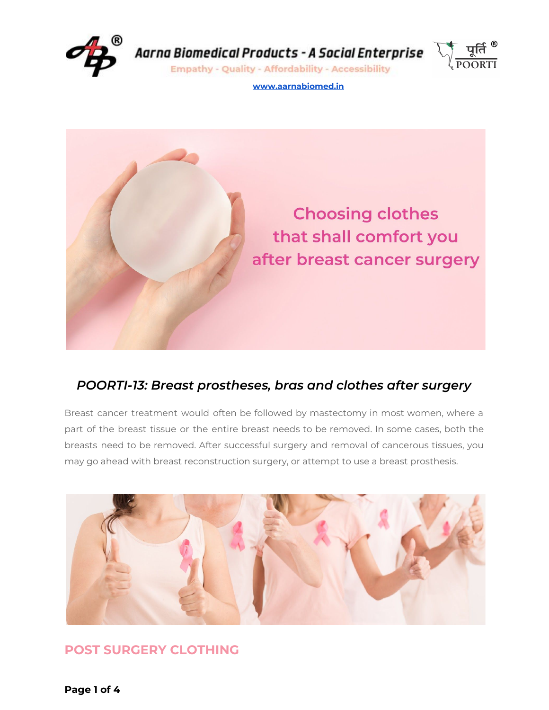

Aarna Biomedical Products - A Social Enterprise

**Empathy - Quality - Affordability - Accessibility** 



**[www.aarnabiomed.in](http://www.aarnabiomed.in/)**



### *POORTI-13: Breast prostheses, bras and clothes after surgery*

Breast cancer treatment would often be followed by mastectomy in most women, where a part of the breast tissue or the entire breast needs to be removed. In some cases, both the breasts need to be removed. After successful surgery and removal of cancerous tissues, you may go ahead with breast reconstruction surgery, or attempt to use a breast prosthesis.



# **POST SURGERY CLOTHING**

**Page 1 of 4**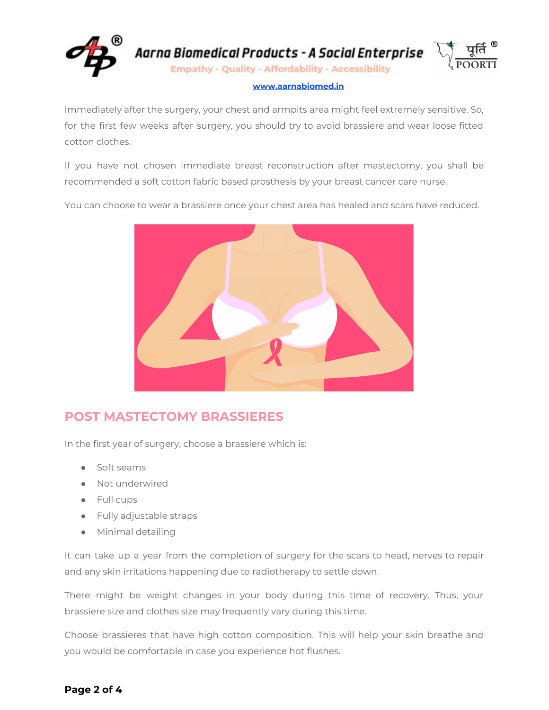

### **[www.aarnabiomed.in](http://www.aarnabiomed.in/)**

Immediately after the surgery, your chest and armpits area might feel extremely sensitive. So, for the first few weeks after surgery, you should try to avoid brassiere and wear loose fitted cotton clothes.

If you have not chosen immediate breast reconstruction after mastectomy, you shall be recommended a soft cotton fabric based prosthesis by your breast cancer care nurse.

You can choose to wear a brassiere once your chest area has healed and scars have reduced.



## **POST MASTECTOMY BRASSIERES**

In the first year of surgery, choose a brassiere which is:

- Soft seams
- Not underwired
- Full cups
- Fully adjustable straps
- Minimal detailing

It can take up a year from the completion of surgery for the scars to head, nerves to repair and any skin irritations happening due to radiotherapy to settle down.

There might be weight changes in your body during this time of recovery. Thus, your brassiere size and clothes size may frequently vary during this time.

Choose brassieres that have high cotton composition. This will help your skin breathe and you would be comfortable in case you experience hot flushes.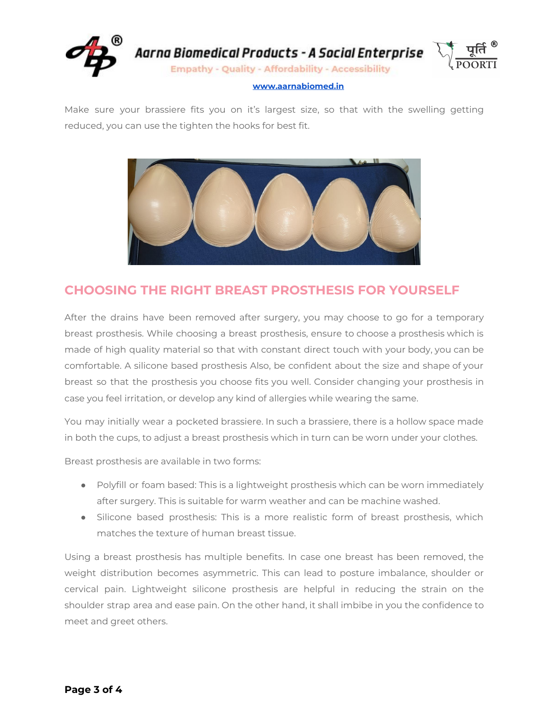

#### **[www.aarnabiomed.in](http://www.aarnabiomed.in/)**

Make sure your brassiere fits you on it's largest size, so that with the swelling getting reduced, you can use the tighten the hooks for best fit.



## **CHOOSING THE RIGHT BREAST PROSTHESIS FOR YOURSELF**

After the drains have been removed after surgery, you may choose to go for a temporary breast prosthesis. While choosing a breast prosthesis, ensure to choose a prosthesis which is made of high quality material so that with constant direct touch with your body, you can be comfortable. A silicone based prosthesis Also, be confident about the size and shape of your breast so that the prosthesis you choose fits you well. Consider changing your prosthesis in case you feel irritation, or develop any kind of allergies while wearing the same.

You may initially wear a pocketed brassiere. In such a brassiere, there is a hollow space made in both the cups, to adjust a breast prosthesis which in turn can be worn under your clothes.

Breast prosthesis are available in two forms:

- Polyfill or foam based: This is a lightweight prosthesis which can be worn immediately after surgery. This is suitable for warm weather and can be machine washed.
- Silicone based prosthesis: This is a more realistic form of breast prosthesis, which matches the texture of human breast tissue.

Using a breast prosthesis has multiple benefits. In case one breast has been removed, the weight distribution becomes asymmetric. This can lead to posture imbalance, shoulder or cervical pain. Lightweight silicone prosthesis are helpful in reducing the strain on the shoulder strap area and ease pain. On the other hand, it shall imbibe in you the confidence to meet and greet others.